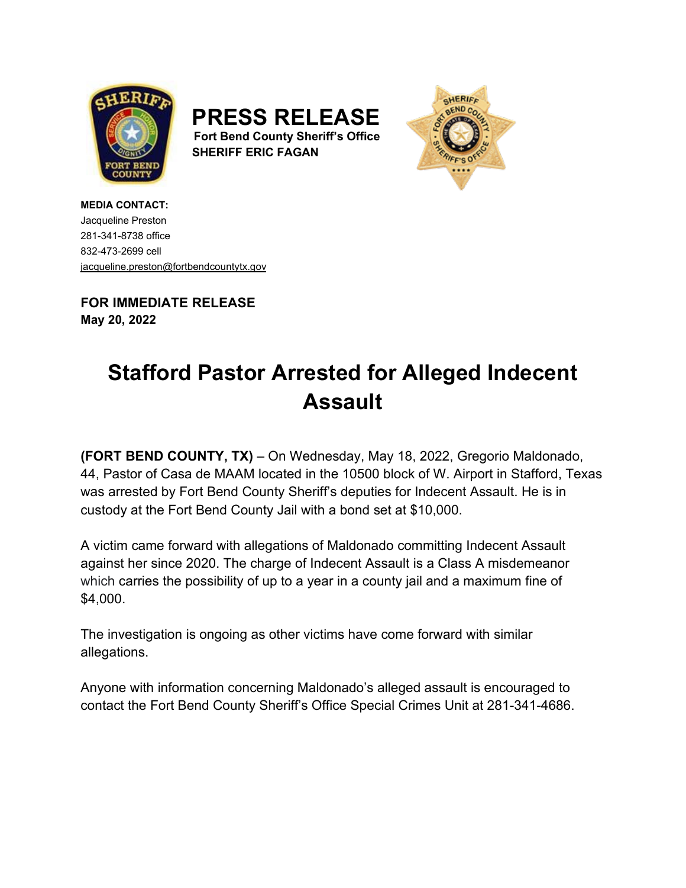





**MEDIA CONTACT:** Jacqueline Preston 281-341-8738 office 832-473-2699 cell [jacqueline.preston@fortbendcountytx.gov](mailto:jacqueline.preston@fortbendcountytx.gov) 

**FOR IMMEDIATE RELEASE May 20, 2022**

## **Stafford Pastor Arrested for Alleged Indecent Assault**

**(FORT BEND COUNTY, TX)** – On Wednesday, May 18, 2022, Gregorio Maldonado, 44, Pastor of Casa de MAAM located in the 10500 block of W. Airport in Stafford, Texas was arrested by Fort Bend County Sheriff's deputies for Indecent Assault. He is in custody at the Fort Bend County Jail with a bond set at \$10,000.

A victim came forward with allegations of Maldonado committing Indecent Assault against her since 2020. The charge of Indecent Assault is a Class A misdemeanor which carries the possibility of up to a year in a county jail and a maximum fine of \$4,000.

The investigation is ongoing as other victims have come forward with similar allegations.

Anyone with information concerning Maldonado's alleged assault is encouraged to contact the Fort Bend County Sheriff's Office Special Crimes Unit at 281-341-4686.